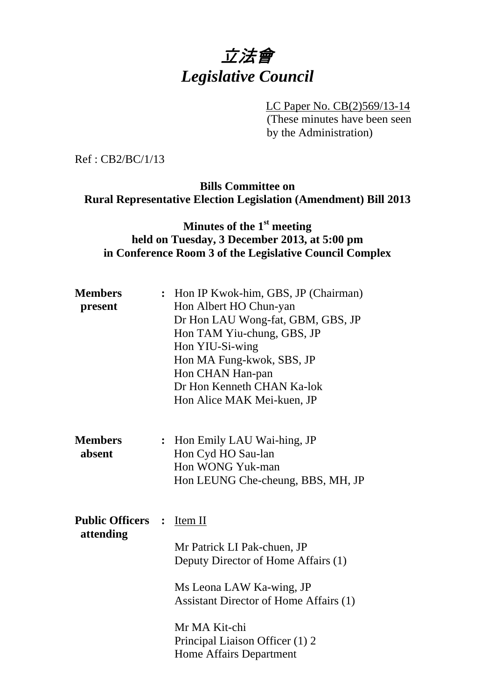# 立法會 *Legislative Council*

 LC Paper No. CB(2)569/13-14 (These minutes have been seen by the Administration)

Ref : CB2/BC/1/13

## **Bills Committee on Rural Representative Election Legislation (Amendment) Bill 2013**

# **Minutes of the 1st meeting held on Tuesday, 3 December 2013, at 5:00 pm in Conference Room 3 of the Legislative Council Complex**

| <b>Members</b><br>present             |                | : Hon IP Kwok-him, GBS, JP (Chairman)<br>Hon Albert HO Chun-yan<br>Dr Hon LAU Wong-fat, GBM, GBS, JP<br>Hon TAM Yiu-chung, GBS, JP<br>Hon YIU-Si-wing<br>Hon MA Fung-kwok, SBS, JP<br>Hon CHAN Han-pan<br>Dr Hon Kenneth CHAN Ka-lok<br>Hon Alice MAK Mei-kuen, JP |
|---------------------------------------|----------------|--------------------------------------------------------------------------------------------------------------------------------------------------------------------------------------------------------------------------------------------------------------------|
| <b>Members</b><br>absent              | $\ddot{\cdot}$ | Hon Emily LAU Wai-hing, JP<br>Hon Cyd HO Sau-lan<br>Hon WONG Yuk-man<br>Hon LEUNG Che-cheung, BBS, MH, JP                                                                                                                                                          |
| <b>Public Officers :</b><br>attending |                | $Item II$<br>Mr Patrick LI Pak-chuen, JP<br>Deputy Director of Home Affairs (1)<br>Ms Leona LAW Ka-wing, JP<br><b>Assistant Director of Home Affairs (1)</b><br>Mr MA Kit-chi<br>Principal Liaison Officer (1) 2<br><b>Home Affairs Department</b>                 |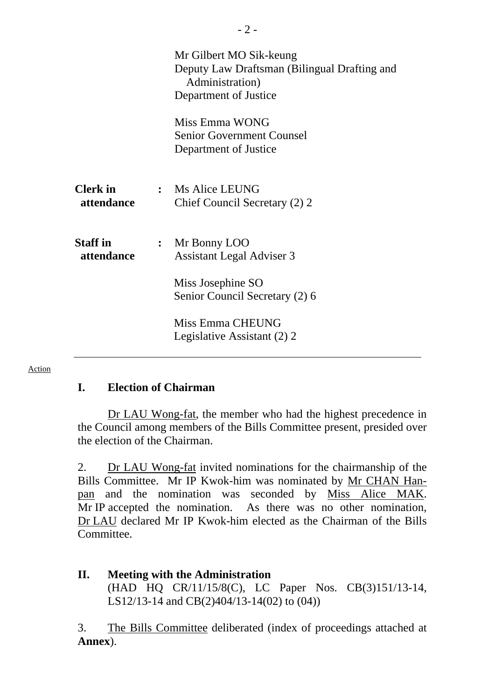|                               | Mr Gilbert MO Sik-keung<br>Deputy Law Draftsman (Bilingual Drafting and<br>Administration)<br>Department of Justice<br>Miss Emma WONG<br><b>Senior Government Counsel</b> |
|-------------------------------|---------------------------------------------------------------------------------------------------------------------------------------------------------------------------|
|                               | Department of Justice                                                                                                                                                     |
| <b>Clerk</b> in<br>attendance | : Ms Alice LEUNG<br>Chief Council Secretary (2) 2                                                                                                                         |
| <b>Staff</b> in<br>attendance | : Mr Bonny LOO<br><b>Assistant Legal Adviser 3</b>                                                                                                                        |
|                               | Miss Josephine SO<br>Senior Council Secretary (2) 6                                                                                                                       |
|                               | Miss Emma CHEUNG<br>Legislative Assistant (2) 2                                                                                                                           |

#### Action

### **I. Election of Chairman**

 Dr LAU Wong-fat, the member who had the highest precedence in the Council among members of the Bills Committee present, presided over the election of the Chairman.

2. Dr LAU Wong-fat invited nominations for the chairmanship of the Bills Committee. Mr IP Kwok-him was nominated by Mr CHAN Hanpan and the nomination was seconded by Miss Alice MAK. Mr IP accepted the nomination. As there was no other nomination, Dr LAU declared Mr IP Kwok-him elected as the Chairman of the Bills Committee.

**II. Meeting with the Administration**  (HAD HQ CR/11/15/8(C), LC Paper Nos. CB(3)151/13-14, LS12/13-14 and CB(2)404/13-14(02) to (04))

3. The Bills Committee deliberated (index of proceedings attached at **Annex**).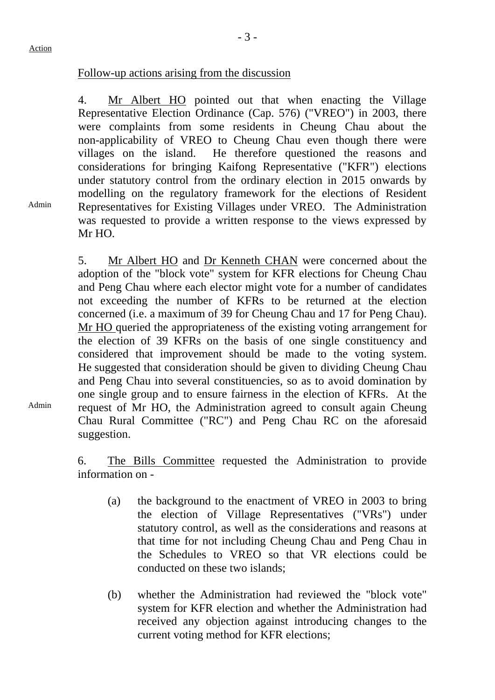#### Follow-up actions arising from the discussion

4. Mr Albert HO pointed out that when enacting the Village Representative Election Ordinance (Cap. 576) ("VREO") in 2003, there were complaints from some residents in Cheung Chau about the non-applicability of VREO to Cheung Chau even though there were villages on the island. He therefore questioned the reasons and considerations for bringing Kaifong Representative ("KFR") elections under statutory control from the ordinary election in 2015 onwards by modelling on the regulatory framework for the elections of Resident Representatives for Existing Villages under VREO. The Administration was requested to provide a written response to the views expressed by Mr HO.

5. Mr Albert HO and Dr Kenneth CHAN were concerned about the adoption of the "block vote" system for KFR elections for Cheung Chau and Peng Chau where each elector might vote for a number of candidates not exceeding the number of KFRs to be returned at the election concerned (i.e. a maximum of 39 for Cheung Chau and 17 for Peng Chau). Mr HO queried the appropriateness of the existing voting arrangement for the election of 39 KFRs on the basis of one single constituency and considered that improvement should be made to the voting system. He suggested that consideration should be given to dividing Cheung Chau and Peng Chau into several constituencies, so as to avoid domination by one single group and to ensure fairness in the election of KFRs. At the request of Mr HO, the Administration agreed to consult again Cheung Chau Rural Committee ("RC") and Peng Chau RC on the aforesaid suggestion.

6. The Bills Committee requested the Administration to provide information on -

- (a) the background to the enactment of VREO in 2003 to bring the election of Village Representatives ("VRs") under statutory control, as well as the considerations and reasons at that time for not including Cheung Chau and Peng Chau in the Schedules to VREO so that VR elections could be conducted on these two islands;
- (b) whether the Administration had reviewed the "block vote" system for KFR election and whether the Administration had received any objection against introducing changes to the current voting method for KFR elections;

Admin

Admin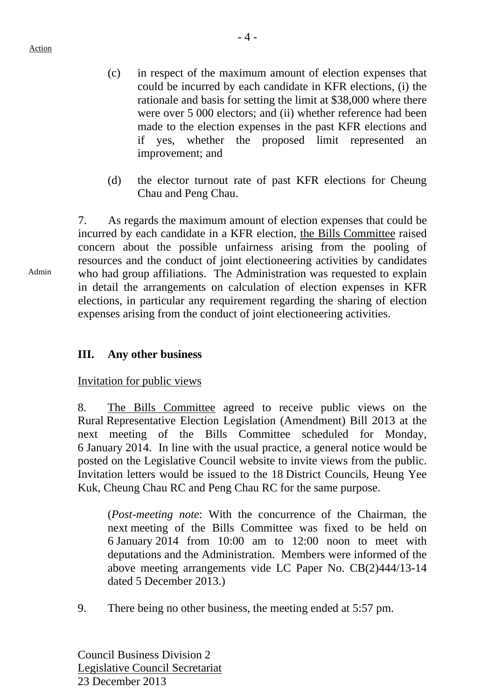Action

- (c) in respect of the maximum amount of election expenses that could be incurred by each candidate in KFR elections, (i) the rationale and basis for setting the limit at \$38,000 where there were over 5 000 electors; and (ii) whether reference had been made to the election expenses in the past KFR elections and if yes, whether the proposed limit represented an improvement; and
- (d) the elector turnout rate of past KFR elections for Cheung Chau and Peng Chau.

7. As regards the maximum amount of election expenses that could be incurred by each candidate in a KFR election, the Bills Committee raised concern about the possible unfairness arising from the pooling of resources and the conduct of joint electioneering activities by candidates who had group affiliations. The Administration was requested to explain in detail the arrangements on calculation of election expenses in KFR elections, in particular any requirement regarding the sharing of election expenses arising from the conduct of joint electioneering activities.

# **III. Any other business**

Invitation for public views

8. The Bills Committee agreed to receive public views on the Rural Representative Election Legislation (Amendment) Bill 2013 at the next meeting of the Bills Committee scheduled for Monday, 6 January 2014. In line with the usual practice, a general notice would be posted on the Legislative Council website to invite views from the public. Invitation letters would be issued to the 18 District Councils, Heung Yee Kuk, Cheung Chau RC and Peng Chau RC for the same purpose.

(*Post-meeting note*: With the concurrence of the Chairman, the next meeting of the Bills Committee was fixed to be held on 6 January 2014 from 10:00 am to 12:00 noon to meet with deputations and the Administration. Members were informed of the above meeting arrangements vide LC Paper No. CB(2)444/13-14 dated 5 December 2013.)

9. There being no other business, the meeting ended at 5:57 pm.

Council Business Division 2 Legislative Council Secretariat 23 December 2013

Admin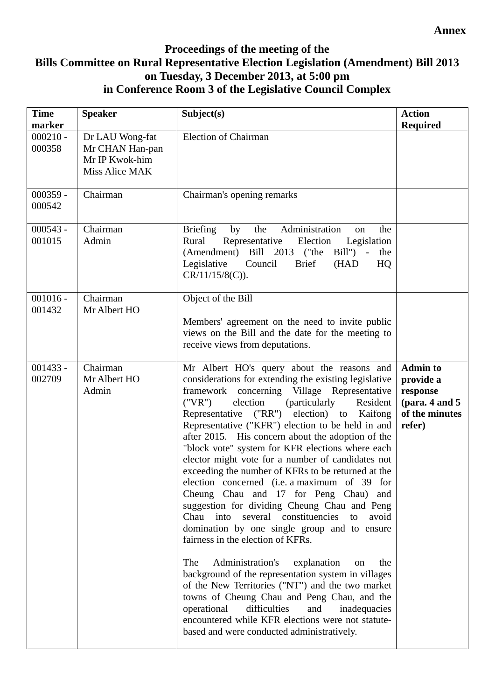#### **Annex**

# **Proceedings of the meeting of the Bills Committee on Rural Representative Election Legislation (Amendment) Bill 2013 on Tuesday, 3 December 2013, at 5:00 pm in Conference Room 3 of the Legislative Council Complex**

| <b>Time</b><br>marker | <b>Speaker</b>                                                         | Subject(s)                                                                                                                                                                                                                                                                                                                                                                                                                                                                                                                                                                                                                                                                                                                                                                                                                                                                                                                                                                                                                                                                                                                                                                                    | <b>Action</b><br><b>Required</b>                                                           |
|-----------------------|------------------------------------------------------------------------|-----------------------------------------------------------------------------------------------------------------------------------------------------------------------------------------------------------------------------------------------------------------------------------------------------------------------------------------------------------------------------------------------------------------------------------------------------------------------------------------------------------------------------------------------------------------------------------------------------------------------------------------------------------------------------------------------------------------------------------------------------------------------------------------------------------------------------------------------------------------------------------------------------------------------------------------------------------------------------------------------------------------------------------------------------------------------------------------------------------------------------------------------------------------------------------------------|--------------------------------------------------------------------------------------------|
| $000210 -$<br>000358  | Dr LAU Wong-fat<br>Mr CHAN Han-pan<br>Mr IP Kwok-him<br>Miss Alice MAK | <b>Election of Chairman</b>                                                                                                                                                                                                                                                                                                                                                                                                                                                                                                                                                                                                                                                                                                                                                                                                                                                                                                                                                                                                                                                                                                                                                                   |                                                                                            |
| $000359 -$<br>000542  | Chairman                                                               | Chairman's opening remarks                                                                                                                                                                                                                                                                                                                                                                                                                                                                                                                                                                                                                                                                                                                                                                                                                                                                                                                                                                                                                                                                                                                                                                    |                                                                                            |
| $000543 -$<br>001015  | Chairman<br>Admin                                                      | Administration<br><b>Briefing</b><br>by<br>the<br>the<br>on<br>Rural<br>Representative<br>Election<br>Legislation<br>$Bill'$ ) -<br>(Amendment) Bill 2013 ("the<br>the<br><b>Brief</b><br>Legislative<br>Council<br>(HAD<br>HQ<br>$CR/11/15/8(C)$ ).                                                                                                                                                                                                                                                                                                                                                                                                                                                                                                                                                                                                                                                                                                                                                                                                                                                                                                                                          |                                                                                            |
| $001016 -$<br>001432  | Chairman<br>Mr Albert HO                                               | Object of the Bill<br>Members' agreement on the need to invite public<br>views on the Bill and the date for the meeting to<br>receive views from deputations.                                                                                                                                                                                                                                                                                                                                                                                                                                                                                                                                                                                                                                                                                                                                                                                                                                                                                                                                                                                                                                 |                                                                                            |
| $001433 -$<br>002709  | Chairman<br>Mr Albert HO<br>Admin                                      | Mr Albert HO's query about the reasons and<br>considerations for extending the existing legislative<br>concerning Village Representative<br>framework<br>election<br>(particularly<br>Resident<br>("VR")<br>Representative ("RR")<br>election) to Kaifong<br>Representative ("KFR") election to be held in and<br>after 2015. His concern about the adoption of the<br>"block vote" system for KFR elections where each<br>elector might vote for a number of candidates not<br>exceeding the number of KFRs to be returned at the<br>election concerned (i.e. a maximum of 39 for<br>Cheung Chau and 17 for Peng Chau)<br>and<br>suggestion for dividing Cheung Chau and Peng<br>Chau into several constituencies to<br>avoid<br>domination by one single group and to ensure<br>fairness in the election of KFRs.<br>The<br>Administration's<br>explanation<br>the<br>on<br>background of the representation system in villages<br>of the New Territories ("NT") and the two market<br>towns of Cheung Chau and Peng Chau, and the<br>operational<br>difficulties<br>and<br>inadequacies<br>encountered while KFR elections were not statute-<br>based and were conducted administratively. | <b>Admin to</b><br>provide a<br>response<br>(para. $4$ and $5$<br>of the minutes<br>refer) |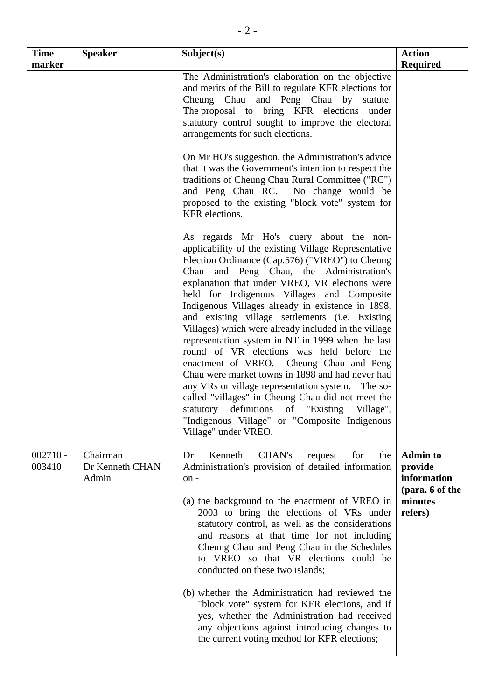| <b>Time</b><br>marker | <b>Speaker</b>                       | Subject(s)                                                                                                                                                                                                                                                                                                                                                                                                                                                                                                                                                                                                                                                                                                                                                                                                                                                                                          | <b>Action</b><br><b>Required</b>                                                   |
|-----------------------|--------------------------------------|-----------------------------------------------------------------------------------------------------------------------------------------------------------------------------------------------------------------------------------------------------------------------------------------------------------------------------------------------------------------------------------------------------------------------------------------------------------------------------------------------------------------------------------------------------------------------------------------------------------------------------------------------------------------------------------------------------------------------------------------------------------------------------------------------------------------------------------------------------------------------------------------------------|------------------------------------------------------------------------------------|
|                       |                                      | The Administration's elaboration on the objective<br>and merits of the Bill to regulate KFR elections for<br>Cheung Chau and Peng Chau by statute.<br>The proposal to bring KFR elections under<br>statutory control sought to improve the electoral<br>arrangements for such elections.                                                                                                                                                                                                                                                                                                                                                                                                                                                                                                                                                                                                            |                                                                                    |
|                       |                                      | On Mr HO's suggestion, the Administration's advice<br>that it was the Government's intention to respect the<br>traditions of Cheung Chau Rural Committee ("RC")<br>and Peng Chau RC. No change would be<br>proposed to the existing "block vote" system for<br>KFR elections.                                                                                                                                                                                                                                                                                                                                                                                                                                                                                                                                                                                                                       |                                                                                    |
|                       |                                      | As regards Mr Ho's query about the non-<br>applicability of the existing Village Representative<br>Election Ordinance (Cap.576) ("VREO") to Cheung<br>Chau and Peng Chau, the Administration's<br>explanation that under VREO, VR elections were<br>held for Indigenous Villages and Composite<br>Indigenous Villages already in existence in 1898,<br>and existing village settlements (i.e. Existing<br>Villages) which were already included in the village<br>representation system in NT in 1999 when the last<br>round of VR elections was held before the<br>enactment of VREO. Cheung Chau and Peng<br>Chau were market towns in 1898 and had never had<br>any VRs or village representation system. The so-<br>called "villages" in Cheung Chau did not meet the<br>statutory definitions of "Existing Village",<br>"Indigenous Village" or "Composite Indigenous"<br>Village" under VREO. |                                                                                    |
| $002710 -$<br>003410  | Chairman<br>Dr Kenneth CHAN<br>Admin | Dr<br>Kenneth<br>CHAN's<br>for<br>the<br>request<br>Administration's provision of detailed information<br>on-<br>(a) the background to the enactment of VREO in<br>2003 to bring the elections of VRs under<br>statutory control, as well as the considerations<br>and reasons at that time for not including<br>Cheung Chau and Peng Chau in the Schedules<br>to VREO so that VR elections could be<br>conducted on these two islands;<br>(b) whether the Administration had reviewed the<br>"block vote" system for KFR elections, and if<br>yes, whether the Administration had received<br>any objections against introducing changes to<br>the current voting method for KFR elections;                                                                                                                                                                                                        | <b>Admin to</b><br>provide<br>information<br>(para. 6 of the<br>minutes<br>refers) |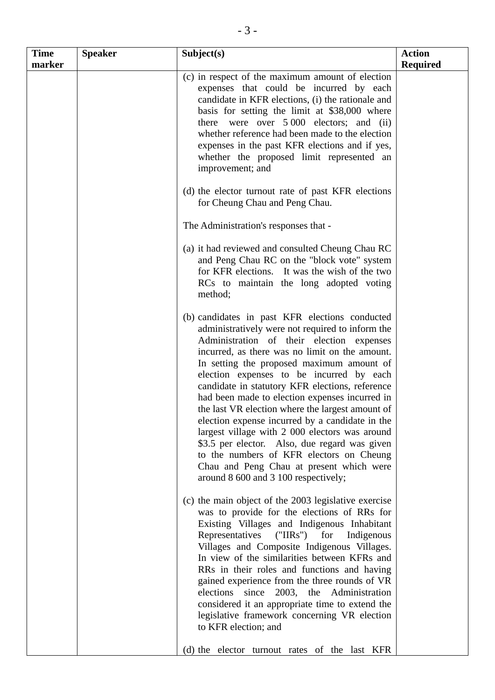| <b>Time</b><br>marker | <b>Speaker</b> | Subject(s)                                                                                                                                                                                                                                                                                                                                                                                                                                                                                                                                                                                                                                                                                                                                | <b>Action</b><br><b>Required</b> |
|-----------------------|----------------|-------------------------------------------------------------------------------------------------------------------------------------------------------------------------------------------------------------------------------------------------------------------------------------------------------------------------------------------------------------------------------------------------------------------------------------------------------------------------------------------------------------------------------------------------------------------------------------------------------------------------------------------------------------------------------------------------------------------------------------------|----------------------------------|
|                       |                | (c) in respect of the maximum amount of election<br>expenses that could be incurred by each<br>candidate in KFR elections, (i) the rationale and<br>basis for setting the limit at \$38,000 where<br>there were over $5\,000$ electors; and (ii)<br>whether reference had been made to the election<br>expenses in the past KFR elections and if yes,<br>whether the proposed limit represented an<br>improvement; and                                                                                                                                                                                                                                                                                                                    |                                  |
|                       |                | (d) the elector turnout rate of past KFR elections<br>for Cheung Chau and Peng Chau.                                                                                                                                                                                                                                                                                                                                                                                                                                                                                                                                                                                                                                                      |                                  |
|                       |                | The Administration's responses that -                                                                                                                                                                                                                                                                                                                                                                                                                                                                                                                                                                                                                                                                                                     |                                  |
|                       |                | (a) it had reviewed and consulted Cheung Chau RC<br>and Peng Chau RC on the "block vote" system<br>for KFR elections. It was the wish of the two<br>RCs to maintain the long adopted voting<br>method;                                                                                                                                                                                                                                                                                                                                                                                                                                                                                                                                    |                                  |
|                       |                | (b) candidates in past KFR elections conducted<br>administratively were not required to inform the<br>Administration of their election expenses<br>incurred, as there was no limit on the amount.<br>In setting the proposed maximum amount of<br>election expenses to be incurred by each<br>candidate in statutory KFR elections, reference<br>had been made to election expenses incurred in<br>the last VR election where the largest amount of<br>election expense incurred by a candidate in the<br>largest village with 2 000 electors was around<br>\$3.5 per elector. Also, due regard was given<br>to the numbers of KFR electors on Cheung<br>Chau and Peng Chau at present which were<br>around 8 600 and 3 100 respectively; |                                  |
|                       |                | (c) the main object of the 2003 legislative exercise<br>was to provide for the elections of RRs for<br>Existing Villages and Indigenous Inhabitant<br>Representatives<br>("IIRs")<br>for<br>Indigenous<br>Villages and Composite Indigenous Villages.<br>In view of the similarities between KFRs and<br>RRs in their roles and functions and having<br>gained experience from the three rounds of VR<br>since 2003, the Administration<br>elections<br>considered it an appropriate time to extend the<br>legislative framework concerning VR election<br>to KFR election; and                                                                                                                                                           |                                  |
|                       |                | (d) the elector turnout rates of the last KFR                                                                                                                                                                                                                                                                                                                                                                                                                                                                                                                                                                                                                                                                                             |                                  |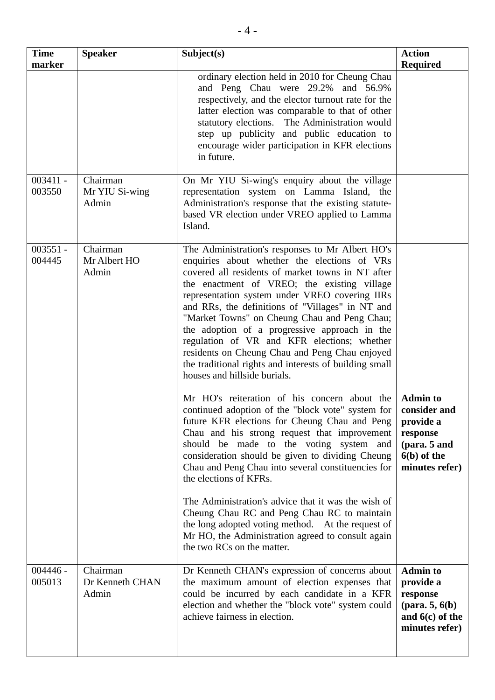| <b>Time</b><br>marker | <b>Speaker</b>                       | Subject(s)                                                                                                                                                                                                                                                                                                                                                                                                                                                                                                                                                                                                                                                                                                                                                                                                                                                                                                                                                                                                                                                                                                                                                                                                                                | <b>Action</b><br><b>Required</b>                                                                            |
|-----------------------|--------------------------------------|-------------------------------------------------------------------------------------------------------------------------------------------------------------------------------------------------------------------------------------------------------------------------------------------------------------------------------------------------------------------------------------------------------------------------------------------------------------------------------------------------------------------------------------------------------------------------------------------------------------------------------------------------------------------------------------------------------------------------------------------------------------------------------------------------------------------------------------------------------------------------------------------------------------------------------------------------------------------------------------------------------------------------------------------------------------------------------------------------------------------------------------------------------------------------------------------------------------------------------------------|-------------------------------------------------------------------------------------------------------------|
|                       |                                      | ordinary election held in 2010 for Cheung Chau<br>and Peng Chau were 29.2% and 56.9%<br>respectively, and the elector turnout rate for the<br>latter election was comparable to that of other<br>statutory elections. The Administration would<br>step up publicity and public education to<br>encourage wider participation in KFR elections<br>in future.                                                                                                                                                                                                                                                                                                                                                                                                                                                                                                                                                                                                                                                                                                                                                                                                                                                                               |                                                                                                             |
| $003411 -$<br>003550  | Chairman<br>Mr YIU Si-wing<br>Admin  | On Mr YIU Si-wing's enquiry about the village<br>representation system on Lamma Island, the<br>Administration's response that the existing statute-<br>based VR election under VREO applied to Lamma<br>Island.                                                                                                                                                                                                                                                                                                                                                                                                                                                                                                                                                                                                                                                                                                                                                                                                                                                                                                                                                                                                                           |                                                                                                             |
| $003551 -$<br>004445  | Chairman<br>Mr Albert HO<br>Admin    | The Administration's responses to Mr Albert HO's<br>enquiries about whether the elections of VRs<br>covered all residents of market towns in NT after<br>the enactment of VREO; the existing village<br>representation system under VREO covering IIRs<br>and RRs, the definitions of "Villages" in NT and<br>"Market Towns" on Cheung Chau and Peng Chau;<br>the adoption of a progressive approach in the<br>regulation of VR and KFR elections; whether<br>residents on Cheung Chau and Peng Chau enjoyed<br>the traditional rights and interests of building small<br>houses and hillside burials.<br>Mr HO's reiteration of his concern about the<br>continued adoption of the "block vote" system for<br>future KFR elections for Cheung Chau and Peng<br>Chau and his strong request that improvement<br>should be made to the voting system and<br>consideration should be given to dividing Cheung<br>Chau and Peng Chau into several constituencies for<br>the elections of KFRs.<br>The Administration's advice that it was the wish of<br>Cheung Chau RC and Peng Chau RC to maintain<br>the long adopted voting method. At the request of<br>Mr HO, the Administration agreed to consult again<br>the two RCs on the matter. | <b>Admin to</b><br>consider and<br>provide a<br>response<br>(para. 5 and<br>$6(b)$ of the<br>minutes refer) |
| $004446 -$<br>005013  | Chairman<br>Dr Kenneth CHAN<br>Admin | Dr Kenneth CHAN's expression of concerns about<br>the maximum amount of election expenses that<br>could be incurred by each candidate in a KFR<br>election and whether the "block vote" system could<br>achieve fairness in election.                                                                                                                                                                                                                                                                                                                                                                                                                                                                                                                                                                                                                                                                                                                                                                                                                                                                                                                                                                                                     | <b>Admin to</b><br>provide a<br>response<br>(para. $5, 6(b)$ )<br>and $6(c)$ of the<br>minutes refer)       |